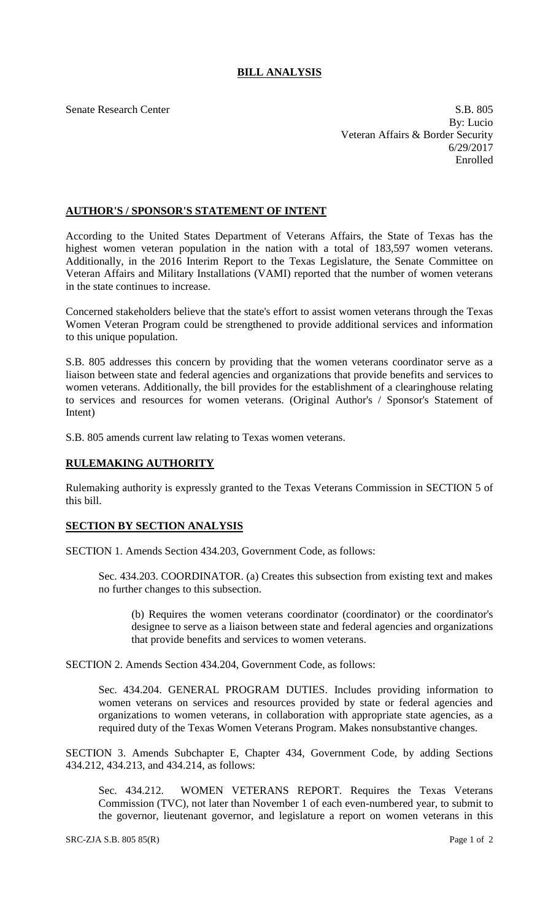## **BILL ANALYSIS**

Senate Research Center S.B. 805 By: Lucio Veteran Affairs & Border Security 6/29/2017 Enrolled

## **AUTHOR'S / SPONSOR'S STATEMENT OF INTENT**

According to the United States Department of Veterans Affairs, the State of Texas has the highest women veteran population in the nation with a total of 183,597 women veterans. Additionally, in the 2016 Interim Report to the Texas Legislature, the Senate Committee on Veteran Affairs and Military Installations (VAMI) reported that the number of women veterans in the state continues to increase.

Concerned stakeholders believe that the state's effort to assist women veterans through the Texas Women Veteran Program could be strengthened to provide additional services and information to this unique population.

S.B. 805 addresses this concern by providing that the women veterans coordinator serve as a liaison between state and federal agencies and organizations that provide benefits and services to women veterans. Additionally, the bill provides for the establishment of a clearinghouse relating to services and resources for women veterans. (Original Author's / Sponsor's Statement of Intent)

S.B. 805 amends current law relating to Texas women veterans.

## **RULEMAKING AUTHORITY**

Rulemaking authority is expressly granted to the Texas Veterans Commission in SECTION 5 of this bill.

## **SECTION BY SECTION ANALYSIS**

SECTION 1. Amends Section 434.203, Government Code, as follows:

Sec. 434.203. COORDINATOR. (a) Creates this subsection from existing text and makes no further changes to this subsection.

(b) Requires the women veterans coordinator (coordinator) or the coordinator's designee to serve as a liaison between state and federal agencies and organizations that provide benefits and services to women veterans.

SECTION 2. Amends Section 434.204, Government Code, as follows:

Sec. 434.204. GENERAL PROGRAM DUTIES. Includes providing information to women veterans on services and resources provided by state or federal agencies and organizations to women veterans, in collaboration with appropriate state agencies, as a required duty of the Texas Women Veterans Program. Makes nonsubstantive changes.

SECTION 3. Amends Subchapter E, Chapter 434, Government Code, by adding Sections 434.212, 434.213, and 434.214, as follows:

Sec. 434.212. WOMEN VETERANS REPORT. Requires the Texas Veterans Commission (TVC), not later than November 1 of each even-numbered year, to submit to the governor, lieutenant governor, and legislature a report on women veterans in this